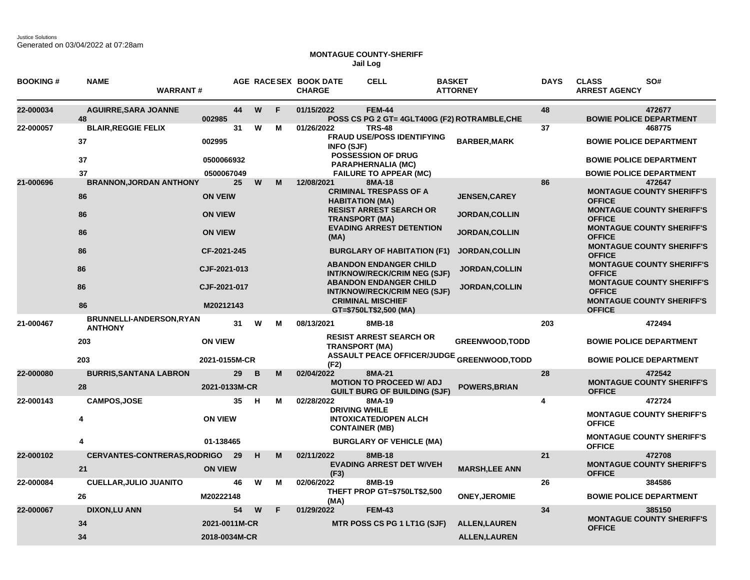## **MONTAGUE COUNTY-SHERIFF Jail Log**

| <b>BOOKING#</b> | <b>NAME</b><br><b>WARRANT#</b>             |                |    |          |   | AGE RACESEX BOOK DATE<br><b>CHARGE</b> | <b>CELL</b>                                                            | <b>BASKET</b><br><b>ATTORNEY</b>              | <b>DAYS</b> | <b>CLASS</b><br><b>ARREST AGENCY</b> | SO#                                                                  |
|-----------------|--------------------------------------------|----------------|----|----------|---|----------------------------------------|------------------------------------------------------------------------|-----------------------------------------------|-------------|--------------------------------------|----------------------------------------------------------------------|
| 22-000034       | <b>AGUIRRE, SARA JOANNE</b><br>48          | 002985         | 44 | W        | F | 01/15/2022                             | <b>FEM-44</b>                                                          | POSS CS PG 2 GT= 4GLT400G (F2) ROTRAMBLE, CHE | 48          | <b>BOWIE POLICE DEPARTMENT</b>       | 472677                                                               |
| 22-000057       | <b>BLAIR, REGGIE FELIX</b>                 |                | 31 | W        | м | 01/26/2022                             | <b>TRS-48</b>                                                          |                                               | 37          |                                      | 468775                                                               |
|                 | 37                                         | 002995         |    |          |   | <b>INFO (SJF)</b>                      | <b>FRAUD USE/POSS IDENTIFYING</b>                                      | <b>BARBER, MARK</b>                           |             | <b>BOWIE POLICE DEPARTMENT</b>       |                                                                      |
|                 | 37                                         | 0500066932     |    |          |   |                                        | <b>POSSESSION OF DRUG</b><br>PARAPHERNALIA (MC)                        |                                               |             | <b>BOWIE POLICE DEPARTMENT</b>       |                                                                      |
|                 | 37                                         | 0500067049     |    |          |   |                                        | <b>FAILURE TO APPEAR (MC)</b>                                          |                                               |             | <b>BOWIE POLICE DEPARTMENT</b>       |                                                                      |
| 21-000696       | <b>BRANNON, JORDAN ANTHONY</b>             |                | 25 | W        | M | 12/08/2021                             | 8MA-18                                                                 |                                               | 86          |                                      | 472647                                                               |
|                 | 86                                         | <b>ON VEIW</b> |    |          |   | <b>HABITATION (MA)</b>                 | <b>CRIMINAL TRESPASS OF A</b><br><b>RESIST ARREST SEARCH OR</b>        | <b>JENSEN, CAREY</b>                          |             | <b>OFFICE</b>                        | <b>MONTAGUE COUNTY SHERIFF'S</b><br><b>MONTAGUE COUNTY SHERIFF'S</b> |
|                 | 86                                         | <b>ON VIEW</b> |    |          |   | <b>TRANSPORT (MA)</b>                  |                                                                        | <b>JORDAN, COLLIN</b>                         |             | <b>OFFICE</b>                        |                                                                      |
|                 | 86                                         | <b>ON VIEW</b> |    |          |   | (MA)                                   | <b>EVADING ARREST DETENTION</b>                                        | <b>JORDAN, COLLIN</b>                         |             | <b>OFFICE</b>                        | <b>MONTAGUE COUNTY SHERIFF'S</b>                                     |
|                 | 86                                         | CF-2021-245    |    |          |   |                                        | <b>BURGLARY OF HABITATION (F1)</b>                                     | <b>JORDAN, COLLIN</b>                         |             | <b>OFFICE</b>                        | <b>MONTAGUE COUNTY SHERIFF'S</b>                                     |
|                 | 86                                         | CJF-2021-013   |    |          |   |                                        | <b>ABANDON ENDANGER CHILD</b><br><b>INT/KNOW/RECK/CRIM NEG (SJF)</b>   | <b>JORDAN,COLLIN</b>                          |             | <b>OFFICE</b>                        | <b>MONTAGUE COUNTY SHERIFF'S</b>                                     |
|                 | 86                                         | CJF-2021-017   |    |          |   |                                        | <b>ABANDON ENDANGER CHILD</b><br><b>INT/KNOW/RECK/CRIM NEG (SJF)</b>   | <b>JORDAN,COLLIN</b>                          |             | <b>OFFICE</b>                        | <b>MONTAGUE COUNTY SHERIFF'S</b>                                     |
|                 | 86                                         | M20212143      |    |          |   |                                        | <b>CRIMINAL MISCHIEF</b><br>GT=\$750LT\$2,500 (MA)                     |                                               |             | <b>OFFICE</b>                        | <b>MONTAGUE COUNTY SHERIFF'S</b>                                     |
| 21-000467       | BRUNNELLI-ANDERSON, RYAN<br><b>ANTHONY</b> |                | 31 | W        | м | 08/13/2021                             | 8MB-18                                                                 |                                               | 203         |                                      | 472494                                                               |
|                 | 203                                        | <b>ON VIEW</b> |    |          |   | <b>TRANSPORT (MA)</b>                  | <b>RESIST ARREST SEARCH OR</b>                                         | <b>GREENWOOD, TODD</b>                        |             | <b>BOWIE POLICE DEPARTMENT</b>       |                                                                      |
|                 | 203                                        | 2021-0155M-CR  |    |          |   | (F2)                                   | <b>ASSAULT PEACE OFFICER/JUDGE</b>                                     | <b>GREENWOOD, TODD</b>                        |             |                                      | <b>BOWIE POLICE DEPARTMENT</b>                                       |
| 22-000080       | <b>BURRIS, SANTANA LABRON</b>              |                | 29 | <b>B</b> | M | 02/04/2022                             | 8MA-21                                                                 |                                               | 28          |                                      | 472542                                                               |
|                 | 28                                         | 2021-0133M-CR  |    |          |   |                                        | <b>MOTION TO PROCEED W/ ADJ</b><br><b>GUILT BURG OF BUILDING (SJF)</b> | <b>POWERS, BRIAN</b>                          |             | <b>OFFICE</b>                        | <b>MONTAGUE COUNTY SHERIFF'S</b>                                     |
| 22-000143       | <b>CAMPOS, JOSE</b>                        |                | 35 | н        | м | 02/28/2022                             | 8MA-19                                                                 |                                               | 4           |                                      | 472724                                                               |
|                 | 4                                          | <b>ON VIEW</b> |    |          |   | <b>DRIVING WHILE</b>                   | <b>INTOXICATED/OPEN ALCH</b><br><b>CONTAINER (MB)</b>                  |                                               |             | <b>OFFICE</b>                        | <b>MONTAGUE COUNTY SHERIFF'S</b>                                     |
|                 | 4                                          | 01-138465      |    |          |   |                                        | <b>BURGLARY OF VEHICLE (MA)</b>                                        |                                               |             | <b>OFFICE</b>                        | <b>MONTAGUE COUNTY SHERIFF'S</b>                                     |
| 22-000102       | <b>CERVANTES-CONTRERAS, RODRIGO</b>        |                | 29 | H        | M | 02/11/2022                             | 8MB-18                                                                 |                                               | 21          |                                      | 472708                                                               |
|                 | 21                                         | <b>ON VIEW</b> |    |          |   | (F3)                                   | <b>EVADING ARREST DET W/VEH</b>                                        | <b>MARSH,LEE ANN</b>                          |             | <b>OFFICE</b>                        | <b>MONTAGUE COUNTY SHERIFF'S</b>                                     |
| 22-000084       | <b>CUELLAR, JULIO JUANITO</b>              |                | 46 | W        | М | 02/06/2022                             | 8MB-19                                                                 |                                               | 26          |                                      | 384586                                                               |
|                 | 26                                         | M20222148      |    |          |   | (MA)                                   | THEFT PROP GT=\$750LT\$2,500                                           | <b>ONEY, JEROMIE</b>                          |             | <b>BOWIE POLICE DEPARTMENT</b>       |                                                                      |
| 22-000067       | <b>DIXON,LU ANN</b>                        |                | 54 | W        | F | 01/29/2022                             | <b>FEM-43</b>                                                          |                                               | 34          |                                      | 385150                                                               |
|                 | 34                                         | 2021-0011M-CR  |    |          |   |                                        | <b>MTR POSS CS PG 1 LT1G (SJF)</b>                                     | <b>ALLEN, LAUREN</b>                          |             | <b>OFFICE</b>                        | <b>MONTAGUE COUNTY SHERIFF'S</b>                                     |
|                 | 34                                         | 2018-0034M-CR  |    |          |   |                                        |                                                                        | <b>ALLEN, LAUREN</b>                          |             |                                      |                                                                      |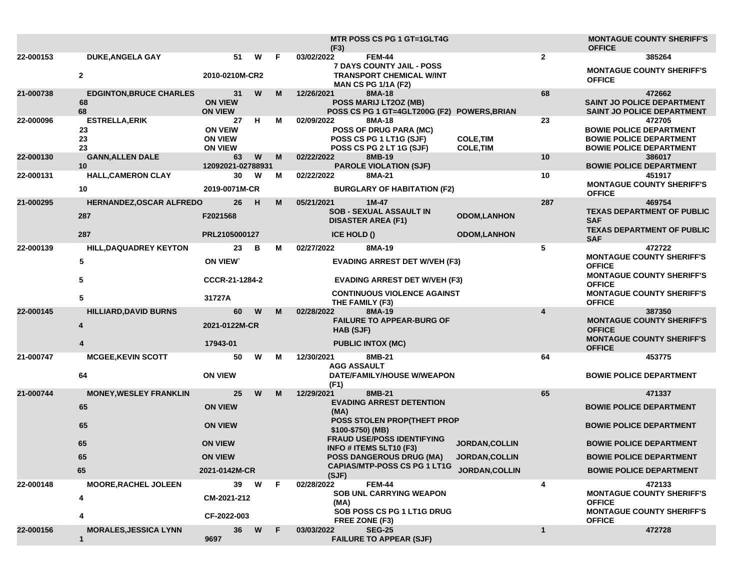|           |                                            |                                                          |   |    | <b>MTR POSS CS PG 1 GT=1GLT4G</b><br>(F3)                                                             |                                      |                         | <b>MONTAGUE COUNTY SHERIFF'S</b><br><b>OFFICE</b>                                                            |
|-----------|--------------------------------------------|----------------------------------------------------------|---|----|-------------------------------------------------------------------------------------------------------|--------------------------------------|-------------------------|--------------------------------------------------------------------------------------------------------------|
| 22-000153 | <b>DUKE, ANGELA GAY</b>                    | 51                                                       | W | F. | 03/02/2022<br><b>FEM-44</b>                                                                           |                                      | $\mathbf{2}$            | 385264                                                                                                       |
|           | $\mathbf{2}$                               | 2010-0210M-CR2                                           |   |    | 7 DAYS COUNTY JAIL - POSS<br><b>TRANSPORT CHEMICAL W/INT</b><br><b>MAN CS PG 1/1A (F2)</b>            |                                      |                         | <b>MONTAGUE COUNTY SHERIFF'S</b><br><b>OFFICE</b>                                                            |
| 21-000738 | <b>EDGINTON, BRUCE CHARLES</b><br>68<br>68 | 31<br><b>ON VIEW</b><br><b>ON VIEW</b>                   | W | M  | 12/26/2021<br>8MA-18<br>POSS MARIJ LT2OZ (MB)<br>POSS CS PG 1 GT=4GLT200G (F2) POWERS, BRIAN          |                                      | 68                      | 472662<br><b>SAINT JO POLICE DEPARTMENT</b><br><b>SAINT JO POLICE DEPARTMENT</b>                             |
| 22-000096 | <b>ESTRELLA, ERIK</b><br>23<br>23<br>23    | 27<br><b>ON VEIW</b><br><b>ON VIEW</b><br><b>ON VIEW</b> | н | М  | 02/09/2022<br>8MA-18<br>POSS OF DRUG PARA (MC)<br>POSS CS PG 1 LT1G (SJF)<br>POSS CS PG 2 LT 1G (SJF) | <b>COLE, TIM</b><br><b>COLE, TIM</b> | 23                      | 472705<br><b>BOWIE POLICE DEPARTMENT</b><br><b>BOWIE POLICE DEPARTMENT</b><br><b>BOWIE POLICE DEPARTMENT</b> |
| 22-000130 | <b>GANN, ALLEN DALE</b><br>10              | 63<br>12092021-02788931                                  | W | M  | 02/22/2022<br>8MB-19<br><b>PAROLE VIOLATION (SJF)</b>                                                 |                                      | 10                      | 386017<br><b>BOWIE POLICE DEPARTMENT</b>                                                                     |
| 22-000131 | <b>HALL, CAMERON CLAY</b>                  | 30                                                       | W | м  | 02/22/2022<br>8MA-21                                                                                  |                                      | 10                      | 451917                                                                                                       |
|           | 10                                         | 2019-0071M-CR                                            |   |    | <b>BURGLARY OF HABITATION (F2)</b>                                                                    |                                      |                         | <b>MONTAGUE COUNTY SHERIFF'S</b><br><b>OFFICE</b>                                                            |
| 21-000295 | HERNANDEZ, OSCAR ALFREDO                   | 26                                                       | H | M  | 05/21/2021<br>$1M-47$<br><b>SOB - SEXUAL ASSAULT IN</b>                                               |                                      | 287                     | 469754                                                                                                       |
|           | 287                                        | F2021568                                                 |   |    | <b>DISASTER AREA (F1)</b>                                                                             | <b>ODOM,LANHON</b>                   |                         | <b>TEXAS DEPARTMENT OF PUBLIC</b><br><b>SAF</b>                                                              |
|           | 287                                        | PRL2105000127                                            |   |    | <b>ICE HOLD ()</b>                                                                                    | <b>ODOM,LANHON</b>                   |                         | <b>TEXAS DEPARTMENT OF PUBLIC</b><br><b>SAF</b>                                                              |
| 22-000139 | <b>HILL, DAQUADREY KEYTON</b>              | 23                                                       | B | м  | 8MA-19<br>02/27/2022                                                                                  |                                      | 5                       | 472722<br><b>MONTAGUE COUNTY SHERIFF'S</b>                                                                   |
|           | 5                                          | <b>ON VIEW</b>                                           |   |    | <b>EVADING ARREST DET W/VEH (F3)</b>                                                                  |                                      |                         | <b>OFFICE</b>                                                                                                |
|           | 5                                          | CCCR-21-1284-2                                           |   |    | <b>EVADING ARREST DET W/VEH (F3)</b>                                                                  |                                      |                         | <b>MONTAGUE COUNTY SHERIFF'S</b><br><b>OFFICE</b>                                                            |
|           | 5                                          | 31727A                                                   |   |    | <b>CONTINUOUS VIOLENCE AGAINST</b><br>THE FAMILY (F3)                                                 |                                      |                         | <b>MONTAGUE COUNTY SHERIFF'S</b><br><b>OFFICE</b>                                                            |
| 22-000145 | <b>HILLIARD, DAVID BURNS</b>               | 60                                                       | W | M  | 02/28/2022<br>8MA-19<br><b>FAILURE TO APPEAR-BURG OF</b>                                              |                                      | $\overline{\mathbf{A}}$ | 387350<br><b>MONTAGUE COUNTY SHERIFF'S</b>                                                                   |
|           | 4                                          | 2021-0122M-CR                                            |   |    | HAB (SJF)                                                                                             |                                      |                         | <b>OFFICE</b>                                                                                                |
|           | 4                                          | 17943-01                                                 |   |    | <b>PUBLIC INTOX (MC)</b>                                                                              |                                      |                         | <b>MONTAGUE COUNTY SHERIFF'S</b><br><b>OFFICE</b>                                                            |
| 21-000747 | <b>MCGEE, KEVIN SCOTT</b>                  | 50                                                       | W | м  | 12/30/2021<br>8MB-21<br><b>AGG ASSAULT</b>                                                            |                                      | 64                      | 453775                                                                                                       |
|           | 64                                         | <b>ON VIEW</b>                                           |   |    | DATE/FAMILY/HOUSE W/WEAPON<br>(F1)                                                                    |                                      |                         | <b>BOWIE POLICE DEPARTMENT</b>                                                                               |
| 21-000744 | <b>MONEY, WESLEY FRANKLIN</b>              | 25                                                       | W | M  | 12/29/2021<br>8MB-21                                                                                  |                                      | 65                      | 471337                                                                                                       |
|           | 65                                         | <b>ON VIEW</b>                                           |   |    | <b>EVADING ARREST DETENTION</b><br>(MA)                                                               |                                      |                         | <b>BOWIE POLICE DEPARTMENT</b>                                                                               |
|           | 65                                         | <b>ON VIEW</b>                                           |   |    | POSS STOLEN PROP(THEFT PROP<br>\$100-\$750) (MB)                                                      |                                      |                         | <b>BOWIE POLICE DEPARTMENT</b>                                                                               |
|           | 65                                         | <b>ON VIEW</b>                                           |   |    | <b>FRAUD USE/POSS IDENTIFYING</b><br>INFO # ITEMS 5LT10 (F3)                                          | <b>JORDAN, COLLIN</b>                |                         | <b>BOWIE POLICE DEPARTMENT</b>                                                                               |
|           | 65                                         | <b>ON VIEW</b>                                           |   |    | <b>POSS DANGEROUS DRUG (MA)</b>                                                                       | <b>JORDAN,COLLIN</b>                 |                         | <b>BOWIE POLICE DEPARTMENT</b>                                                                               |
|           | 65                                         | 2021-0142M-CR                                            |   |    | CAPIAS/MTP-POSS CS PG 1 LT1G JORDAN, COLLIN<br>(SJF)                                                  |                                      |                         | <b>BOWIE POLICE DEPARTMENT</b>                                                                               |
| 22-000148 | <b>MOORE, RACHEL JOLEEN</b>                | 39                                                       | W | F. | <b>FEM-44</b><br>02/28/2022<br>SOB UNL CARRYING WEAPON                                                |                                      | 4                       | 472133<br><b>MONTAGUE COUNTY SHERIFF'S</b>                                                                   |
|           | 4                                          | CM-2021-212                                              |   |    | (MA)                                                                                                  |                                      |                         | <b>OFFICE</b>                                                                                                |
|           | 4                                          | CF-2022-003                                              |   |    | SOB POSS CS PG 1 LT1G DRUG<br>FREE ZONE (F3)                                                          |                                      |                         | <b>MONTAGUE COUNTY SHERIFF'S</b><br><b>OFFICE</b>                                                            |
| 22-000156 | <b>MORALES, JESSICA LYNN</b><br>1          | 36<br>9697                                               | W | F. | 03/03/2022<br><b>SEG-25</b><br><b>FAILURE TO APPEAR (SJF)</b>                                         |                                      | 1                       | 472728                                                                                                       |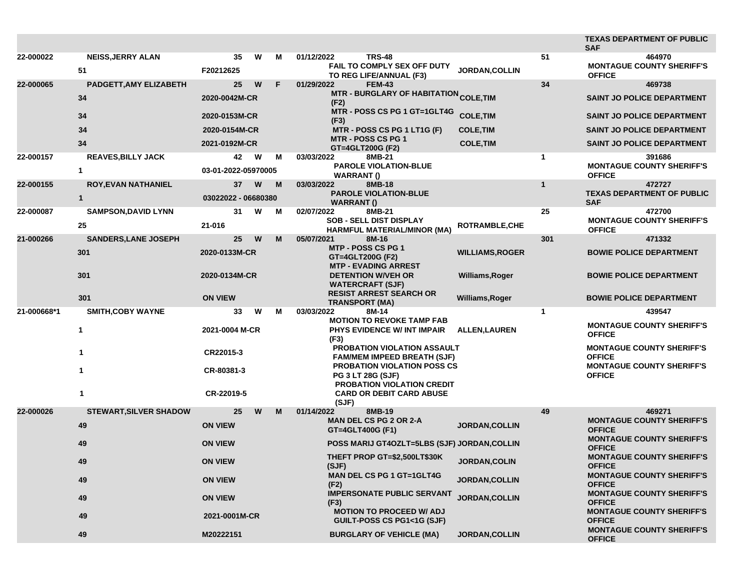|             |                                |                                              |   |    |                                                                                                     |                        |              | <b>TEXAS DEPARTMENT OF PUBLIC</b><br><b>SAF</b>                                       |
|-------------|--------------------------------|----------------------------------------------|---|----|-----------------------------------------------------------------------------------------------------|------------------------|--------------|---------------------------------------------------------------------------------------|
| 22-000022   | <b>NEISS, JERRY ALAN</b><br>51 | 35<br>F20212625                              | W | м  | <b>TRS-48</b><br>01/12/2022<br><b>FAIL TO COMPLY SEX OFF DUTY</b><br>TO REG LIFE/ANNUAL (F3)        | <b>JORDAN.COLLIN</b>   | 51           | 464970<br><b>MONTAGUE COUNTY SHERIFF'S</b><br><b>OFFICE</b>                           |
| 22-000065   | PADGETT, AMY ELIZABETH         | 25                                           | W | F. | 01/29/2022<br><b>FEM-43</b>                                                                         |                        | 34           | 469738                                                                                |
|             | 34                             | 2020-0042M-CR                                |   |    | MTR - BURGLARY OF HABITATION <sub>COLE,TIM</sub><br>(F2)                                            |                        |              | <b>SAINT JO POLICE DEPARTMENT</b>                                                     |
|             | 34                             | 2020-0153M-CR                                |   |    | MTR - POSS CS PG 1 GT=1GLT4G<br>(F3)                                                                | <b>COLE, TIM</b>       |              | <b>SAINT JO POLICE DEPARTMENT</b>                                                     |
|             | 34                             | 2020-0154M-CR                                |   |    | MTR - POSS CS PG 1 LT1G (F)                                                                         | <b>COLE, TIM</b>       |              | <b>SAINT JO POLICE DEPARTMENT</b>                                                     |
|             | 34                             | 2021-0192M-CR                                |   |    | <b>MTR - POSS CS PG 1</b><br>GT=4GLT200G (F2)                                                       | <b>COLE, TIM</b>       |              | SAINT JO POLICE DEPARTMENT                                                            |
| 22-000157   | <b>REAVES, BILLY JACK</b>      | 42                                           | W | м  | 03/03/2022<br>8MB-21                                                                                |                        | $\mathbf{1}$ | 391686                                                                                |
|             | 1                              | 03-01-2022-05970005                          |   |    | <b>PAROLE VIOLATION-BLUE</b><br><b>WARRANT()</b>                                                    |                        |              | <b>MONTAGUE COUNTY SHERIFF'S</b><br><b>OFFICE</b>                                     |
| 22-000155   | <b>ROY, EVAN NATHANIEL</b>     | 37                                           | W | M  | 03/03/2022<br>8MB-18<br><b>PAROLE VIOLATION-BLUE</b>                                                |                        | $\mathbf{1}$ | 472727<br><b>TEXAS DEPARTMENT OF PUBLIC</b>                                           |
|             | $\mathbf{1}$                   | 03022022 - 06680380                          |   |    | <b>WARRANT</b> ()                                                                                   |                        |              | <b>SAF</b>                                                                            |
| 22-000087   | <b>SAMPSON, DAVID LYNN</b>     | 31                                           | W | M  | 02/07/2022<br>8MB-21                                                                                |                        | 25           | 472700                                                                                |
|             | 25                             | 21-016                                       |   |    | <b>SOB - SELL DIST DISPLAY</b><br>HARMFUL MATERIAL/MINOR (MA)                                       | <b>ROTRAMBLE, CHE</b>  |              | <b>MONTAGUE COUNTY SHERIFF'S</b><br><b>OFFICE</b>                                     |
| 21-000266   | <b>SANDERS, LANE JOSEPH</b>    | 25                                           | W | M  | 05/07/2021<br>8M-16                                                                                 |                        | 301          | 471332                                                                                |
|             | 301                            | 2020-0133M-CR<br>2020-0134M-CR               |   |    | <b>MTP - POSS CS PG 1</b><br>GT=4GLT200G (F2)<br><b>MTP - EVADING ARREST</b>                        | <b>WILLIAMS, ROGER</b> |              | <b>BOWIE POLICE DEPARTMENT</b>                                                        |
|             | 301                            |                                              |   |    | <b>DETENTION W/VEH OR</b><br><b>WATERCRAFT (SJF)</b>                                                | <b>Williams, Roger</b> |              | <b>BOWIE POLICE DEPARTMENT</b>                                                        |
|             | 301                            | <b>ON VIEW</b>                               |   |    | <b>RESIST ARREST SEARCH OR</b><br><b>TRANSPORT (MA)</b>                                             | Williams, Roger        |              | <b>BOWIE POLICE DEPARTMENT</b>                                                        |
| 21-000668*1 | <b>SMITH, COBY WAYNE</b>       | 33                                           | W | М  | 03/03/2022<br>8M-14                                                                                 |                        | $\mathbf{1}$ | 439547                                                                                |
|             | 1                              | 2021-0004 M-CR<br>CR22015-3<br>CR-80381-3    |   |    | <b>MOTION TO REVOKE TAMP FAB</b><br>PHYS EVIDENCE W/ INT IMPAIR<br>(F3)                             | <b>ALLEN, LAUREN</b>   |              | <b>MONTAGUE COUNTY SHERIFF'S</b><br><b>OFFICE</b>                                     |
|             | 1                              |                                              |   |    | <b>PROBATION VIOLATION ASSAULT</b><br><b>FAM/MEM IMPEED BREATH (SJF)</b>                            |                        |              | <b>MONTAGUE COUNTY SHERIFF'S</b><br><b>OFFICE</b>                                     |
|             | 1                              |                                              |   |    | <b>PROBATION VIOLATION POSS CS</b><br><b>PG 3 LT 28G (SJF)</b><br><b>PROBATION VIOLATION CREDIT</b> |                        |              | <b>MONTAGUE COUNTY SHERIFF'S</b><br><b>OFFICE</b>                                     |
|             | 1                              | CR-22019-5                                   |   |    | <b>CARD OR DEBIT CARD ABUSE</b><br>(SJF)                                                            |                        |              |                                                                                       |
| 22-000026   | <b>STEWART, SILVER SHADOW</b>  | 25                                           | W | M  | 01/14/2022<br>8MB-19                                                                                |                        | 49           | 469271                                                                                |
|             | 49                             | <b>ON VIEW</b>                               |   |    | <b>MAN DEL CS PG 2 OR 2-A</b><br>GT=4GLT400G (F1)                                                   | <b>JORDAN, COLLIN</b>  |              | <b>MONTAGUE COUNTY SHERIFF'S</b><br><b>OFFICE</b><br><b>MONTAGUE COUNTY SHERIFF'S</b> |
|             | 49                             | <b>ON VIEW</b>                               |   |    | <b>POSS MARIJ GT4OZLT=5LBS (SJF) JORDAN, COLLIN</b>                                                 |                        |              | <b>OFFICE</b>                                                                         |
|             | 49                             | <b>ON VIEW</b>                               |   |    | THEFT PROP GT=\$2,500LT\$30K<br>(SJF)                                                               | JORDAN, COLIN          |              | <b>MONTAGUE COUNTY SHERIFF'S</b><br><b>OFFICE</b>                                     |
|             | 49                             | <b>ON VIEW</b>                               |   |    | <b>MAN DEL CS PG 1 GT=1GLT4G</b><br>(F2)                                                            | JORDAN, COLLIN         |              | <b>MONTAGUE COUNTY SHERIFF'S</b><br><b>OFFICE</b>                                     |
|             | 49                             | <b>ON VIEW</b><br>2021-0001M-CR<br>M20222151 |   |    | <b>IMPERSONATE PUBLIC SERVANT</b><br>(F3)                                                           | JORDAN, COLLIN         |              | <b>MONTAGUE COUNTY SHERIFF'S</b><br><b>OFFICE</b>                                     |
|             | 49                             |                                              |   |    | <b>MOTION TO PROCEED W/ ADJ</b><br>GUILT-POSS CS PG1<1G (SJF)                                       |                        |              | <b>MONTAGUE COUNTY SHERIFF'S</b><br><b>OFFICE</b>                                     |
|             | 49                             |                                              |   |    | <b>BURGLARY OF VEHICLE (MA)</b>                                                                     | <b>JORDAN, COLLIN</b>  |              | <b>MONTAGUE COUNTY SHERIFF'S</b><br><b>OFFICE</b>                                     |